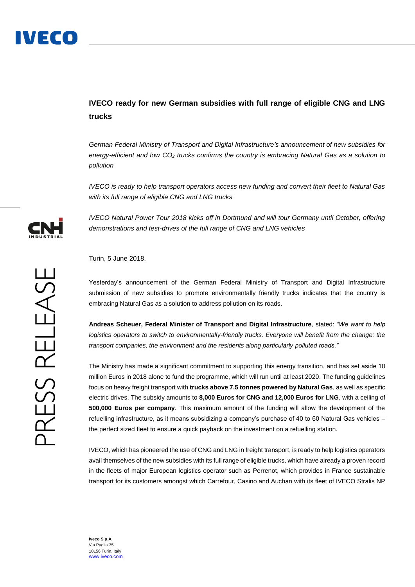## **IVECO ready for new German subsidies with full range of eligible CNG and LNG trucks**

*German Federal Ministry of Transport and Digital Infrastructure's announcement of new subsidies for energy-efficient and low CO<sup>2</sup> trucks confirms the country is embracing Natural Gas as a solution to pollution*

*IVECO is ready to help transport operators access new funding and convert their fleet to Natural Gas with its full range of eligible CNG and LNG trucks*

*IVECO Natural Power Tour 2018 kicks off in Dortmund and will tour Germany until October, offering demonstrations and test-drives of the full range of CNG and LNG vehicles*

Turin, 5 June 2018,

Yesterday's announcement of the German Federal Ministry of Transport and Digital Infrastructure submission of new subsidies to promote environmentally friendly trucks indicates that the country is embracing Natural Gas as a solution to address pollution on its roads.

**Andreas Scheuer, Federal Minister of Transport and Digital Infrastructure**, stated: *"We want to help logistics operators to switch to environmentally-friendly trucks. Everyone will benefit from the change: the transport companies, the environment and the residents along particularly polluted roads."*

The Ministry has made a significant commitment to supporting this energy transition, and has set aside 10 million Euros in 2018 alone to fund the programme, which will run until at least 2020. The funding guidelines focus on heavy freight transport with **trucks above 7.5 tonnes powered by Natural Gas**, as well as specific electric drives. The subsidy amounts to **8,000 Euros for CNG and 12,000 Euros for LNG**, with a ceiling of **500,000 Euros per company**. This maximum amount of the funding will allow the development of the refuelling infrastructure, as it means subsidizing a company's purchase of 40 to 60 Natural Gas vehicles – the perfect sized fleet to ensure a quick payback on the investment on a refuelling station.

IVECO, which has pioneered the use of CNG and LNG in freight transport, is ready to help logistics operators avail themselves of the new subsidies with its full range of eligible trucks, which have already a proven record in the fleets of major European logistics operator such as Perrenot, which provides in France sustainable transport for its customers amongst which Carrefour, Casino and Auchan with its fleet of IVECO Stralis NP



**Iveco S.p.A.** Via Puglia 35 10156 Turin, Italy [www.iveco.com](http://www.iveco.com/)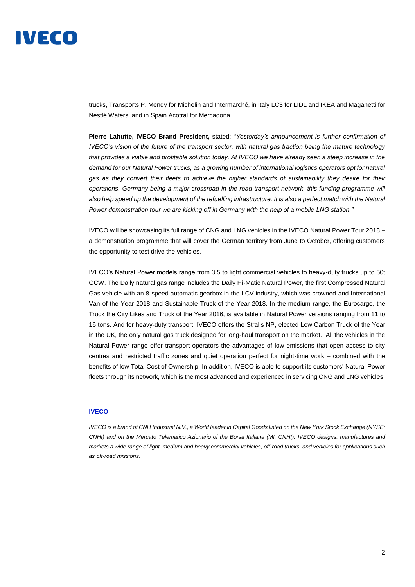## IVECO

trucks, Transports P. Mendy for Michelin and Intermarché, in Italy LC3 for LIDL and IKEA and Maganetti for Nestlé Waters, and in Spain Acotral for Mercadona.

**Pierre Lahutte, IVECO Brand President,** stated: *"Yesterday's announcement is further confirmation of IVECO's vision of the future of the transport sector, with natural gas traction being the mature technology that provides a viable and profitable solution today. At IVECO we have already seen a steep increase in the demand for our Natural Power trucks, as a growing number of international logistics operators opt for natural gas as they convert their fleets to achieve the higher standards of sustainability they desire for their operations. Germany being a major crossroad in the road transport network, this funding programme will also help speed up the development of the refuelling infrastructure. It is also a perfect match with the Natural Power demonstration tour we are kicking off in Germany with the help of a mobile LNG station."*

IVECO will be showcasing its full range of CNG and LNG vehicles in the IVECO Natural Power Tour 2018 – a demonstration programme that will cover the German territory from June to October, offering customers the opportunity to test drive the vehicles.

IVECO's Natural Power models range from 3.5 to light commercial vehicles to heavy-duty trucks up to 50t GCW. The Daily natural gas range includes the Daily Hi-Matic Natural Power, the first Compressed Natural Gas vehicle with an 8-speed automatic gearbox in the LCV industry, which was crowned and International Van of the Year 2018 and Sustainable Truck of the Year 2018. In the medium range, the Eurocargo, the Truck the City Likes and Truck of the Year 2016, is available in Natural Power versions ranging from 11 to 16 tons. And for heavy-duty transport, IVECO offers the Stralis NP, elected Low Carbon Truck of the Year in the UK, the only natural gas truck designed for long-haul transport on the market. All the vehicles in the Natural Power range offer transport operators the advantages of low emissions that open access to city centres and restricted traffic zones and quiet operation perfect for night-time work – combined with the benefits of low Total Cost of Ownership. In addition, IVECO is able to support its customers' Natural Power fleets through its network, which is the most advanced and experienced in servicing CNG and LNG vehicles.

## **IVECO**

*IVECO is a brand of CNH Industrial N.V., a World leader in Capital Goods listed on the New York Stock Exchange (NYSE: CNHI) and on the Mercato Telematico Azionario of the Borsa Italiana (MI: CNHI). IVECO designs, manufactures and markets a wide range of light, medium and heavy commercial vehicles, off-road trucks, and vehicles for applications such as off-road missions.*